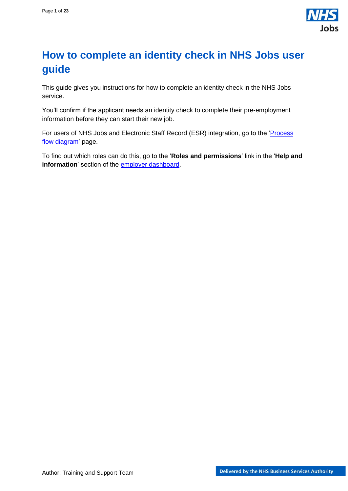

# <span id="page-0-0"></span>**How to complete an identity check in NHS Jobs user guide**

This guide gives you instructions for how to complete an identity check in the NHS Jobs service.

You'll confirm if the applicant needs an identity check to complete their pre-employment information before they can start their new job.

For users of NHS Jobs and Electronic Staff Record (ESR) integration, go to the 'Process [flow diagram'](#page-2-0) page.

To find out which roles can do this, go to the '**Roles and permissions**' link in the '**Help and information**' section of the [employer dashboard.](https://beta.jobs.nhs.uk/home)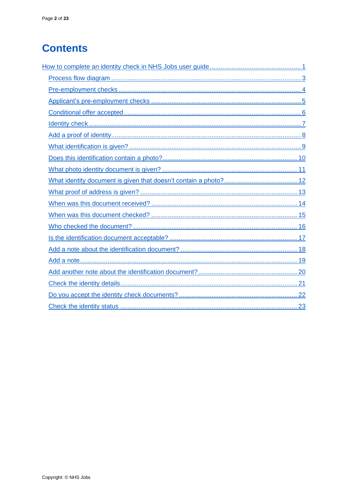# **Contents**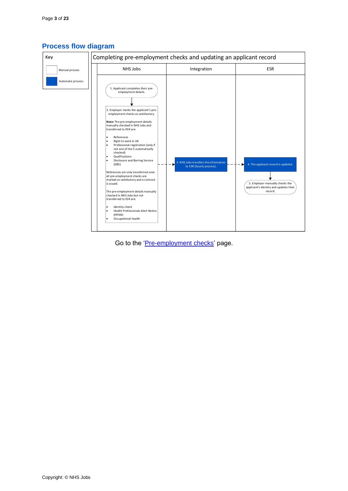

## <span id="page-2-0"></span>**Process flow diagram**

Go to the ['Pre-employment checks'](#page-3-0) page.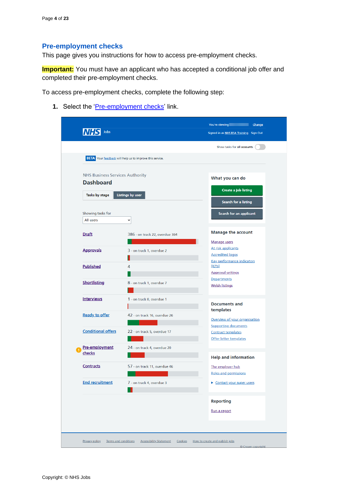#### <span id="page-3-0"></span>**Pre-employment checks**

This page gives you instructions for how to access pre-employment checks.

**Important:** You must have an applicant who has accepted a conditional job offer and completed their pre-employment checks.

To access pre-employment checks, complete the following step:

1. Select the ['Pre-employment checks'](#page-4-0) link.

|                                        | <b>BETA</b> Your feedback will help us to improve this service. | Show tasks for all accounts                                  |
|----------------------------------------|-----------------------------------------------------------------|--------------------------------------------------------------|
|                                        |                                                                 |                                                              |
| <b>NHS Business Services Authority</b> |                                                                 | What you can do                                              |
| <b>Dashboard</b>                       |                                                                 |                                                              |
| Tasks by stage                         | <b>Listings by user</b>                                         | Create a job listing                                         |
|                                        |                                                                 | Search for a listing                                         |
| Showing tasks for                      |                                                                 | Search for an applicant                                      |
| All users                              | $\check{~}$                                                     |                                                              |
| <b>Draft</b>                           | 386 - on track 22, overdue 364                                  | <b>Manage the account</b>                                    |
|                                        |                                                                 | Manage users                                                 |
| <b>Approvals</b>                       | 3 - on track 1, overdue 2                                       | At risk applicants                                           |
|                                        |                                                                 | <b>Accredited logos</b><br><b>Key performance indicators</b> |
| <b>Published</b>                       | 4                                                               | (KPIs)                                                       |
|                                        |                                                                 | <b>Approval settings</b>                                     |
| <b>Shortlisting</b>                    | 8 - on track 1, overdue 7                                       | <b>Departments</b><br><b>Welsh listings</b>                  |
|                                        |                                                                 |                                                              |
| <b>Interviews</b>                      | 1 - on track 0, overdue 1                                       |                                                              |
|                                        |                                                                 | <b>Documents and</b><br>templates                            |
| <b>Ready to offer</b>                  | 42 - on track 16, overdue 26                                    | Overview of your organisation                                |
|                                        |                                                                 | <b>Supporting documents</b>                                  |
| <b>Conditional offers</b>              | 22 - on track 5, overdue 17                                     | <b>Contract templates</b>                                    |
|                                        |                                                                 | Offer letter templates                                       |
| Pre-employment<br>checks               | 24 - on track 4, overdue 20                                     |                                                              |
|                                        |                                                                 | <b>Help and information</b>                                  |
| <b>Contracts</b>                       | 57 - on track 11, overdue 46                                    | The employer hub                                             |
|                                        |                                                                 | Roles and permissions                                        |
| <b>End recruitment</b>                 | 7 - on track 4, overdue 3                                       | Contact your super users                                     |
|                                        |                                                                 | <b>Reporting</b>                                             |
|                                        |                                                                 |                                                              |
|                                        |                                                                 | Run a report                                                 |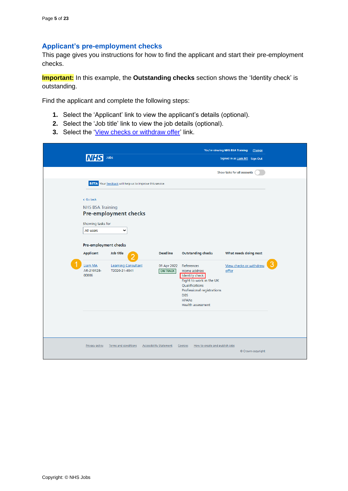#### <span id="page-4-0"></span>**Applicant's pre-employment checks**

This page gives you instructions for how to find the applicant and start their pre-employment checks.

**Important:** In this example, the **Outstanding checks** section shows the 'Identity check' is outstanding.

Find the applicant and complete the following steps:

- **1.** Select the 'Applicant' link to view the applicant's details (optional).
- **2.** Select the 'Job title' link to view the job details (optional).
- **3.** Select the ['View checks or withdraw offer'](#page-5-0) link.

|                                                                                                                                                       | Jobs                                                                                                                                                      |                                                   |                                                                                                                                                                                    | You're viewing NHS BSA Training<br>Signed in as Liam M1 Sign Out | Change |
|-------------------------------------------------------------------------------------------------------------------------------------------------------|-----------------------------------------------------------------------------------------------------------------------------------------------------------|---------------------------------------------------|------------------------------------------------------------------------------------------------------------------------------------------------------------------------------------|------------------------------------------------------------------|--------|
|                                                                                                                                                       |                                                                                                                                                           |                                                   |                                                                                                                                                                                    | Show tasks for all accounts                                      |        |
| < Go back<br><b>NHS BSA Training</b><br>Showing tasks for<br>All users<br>Pre-employment checks<br><b>Applicant</b><br>Liam MA<br>AR-210128-<br>00006 | BETA Your feedback will help us to improve this service.<br><b>Pre-employment checks</b><br>v<br>Job title<br><b>Learning Consultant</b><br>T2020-21-4641 | <b>Deadline</b><br>01 Apr 2022<br><b>ON TRACK</b> | <b>Outstanding checks</b><br>References<br>Home address<br>Identity check<br>Right to work in the UK<br>Qualifications<br>Professional registrations<br><b>DBS</b><br><b>HPANs</b> | What needs doing next<br>View checks or withdraw<br>offer        |        |
| Privacy policy                                                                                                                                        | Terms and conditions                                                                                                                                      | <b>Accessibility Statement</b>                    | <b>Health assessment</b><br>Cookies<br>How to create and publish jobs                                                                                                              | © Crown copyright                                                |        |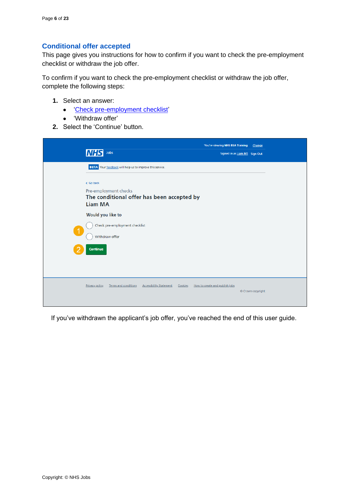# <span id="page-5-0"></span>**Conditional offer accepted**

This page gives you instructions for how to confirm if you want to check the pre-employment checklist or withdraw the job offer.

To confirm if you want to check the pre-employment checklist or withdraw the job offer, complete the following steps:

- **1.** Select an answer:
	- ['Check pre-employment checklist'](#page-6-0)
	- 'Withdraw offer'
- **2.** Select the 'Continue' button.

|                      | Jobs<br><b>NHS</b>                                                                                                                           | You're viewing NHS BSA Training<br>Signed in as Liam M1 Sign Out | Change            |
|----------------------|----------------------------------------------------------------------------------------------------------------------------------------------|------------------------------------------------------------------|-------------------|
|                      | BETA Your feedback will help us to improve this service.<br>< Go back<br>Pre-employment checks<br>The conditional offer has been accepted by |                                                                  |                   |
| $\blacktriangleleft$ | <b>Liam MA</b><br>Would you like to<br>Check pre-employment checklist                                                                        |                                                                  |                   |
|                      | Withdraw offer<br>Continue                                                                                                                   |                                                                  |                   |
|                      | Terms and conditions<br>Privacy policy<br><b>Accessibility Statement</b><br>Cookies                                                          | How to create and publish jobs                                   | © Crown copyright |

If you've withdrawn the applicant's job offer, you've reached the end of this user guide.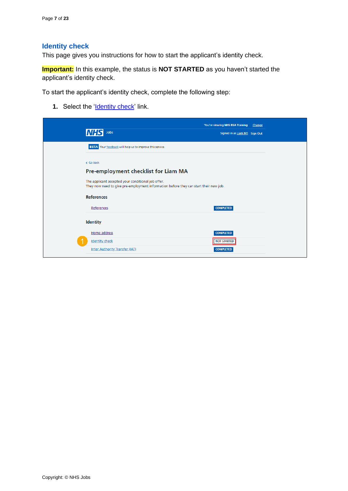## <span id="page-6-0"></span>**Identity check**

This page gives you instructions for how to start the applicant's identity check.

**Important:** In this example, the status is **NOT STARTED** as you haven't started the applicant's identity check.

To start the applicant's identity check, complete the following step:

**1.** Select the '*Identity check'* link.

<span id="page-6-1"></span>

| Jobs                                                                                                                                        | You're viewing NHS BSA Training<br>Change<br>Signed in as Liam M1 Sign Out |
|---------------------------------------------------------------------------------------------------------------------------------------------|----------------------------------------------------------------------------|
| <b>BETA</b> Your feedback will help us to improve this service.                                                                             |                                                                            |
| < Go back                                                                                                                                   |                                                                            |
| Pre-employment checklist for Liam MA                                                                                                        |                                                                            |
| The applicant accepted your conditional job offer.<br>They now need to give pre-employment information before they can start their new job. |                                                                            |
| <b>References</b>                                                                                                                           |                                                                            |
| References                                                                                                                                  | <b>COMPLETED</b>                                                           |
| Identity                                                                                                                                    |                                                                            |
| Home address                                                                                                                                | <b>COMPLETED</b>                                                           |
| <b>Identity check</b>                                                                                                                       | <b>NOT STARTED</b>                                                         |
| Inter Authority Transfer (IAT)                                                                                                              | <b>COMPLETED</b>                                                           |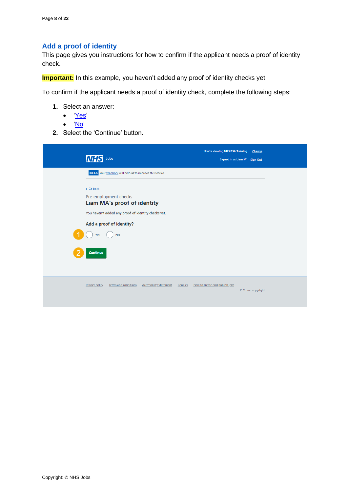# <span id="page-7-0"></span>**Add a proof of identity**

This page gives you instructions for how to confirm if the applicant needs a proof of identity check.

**Important:** In this example, you haven't added any proof of identity checks yet.

To confirm if the applicant needs a proof of identity check, complete the following steps:

- **1.** Select an answer:
	- ['Yes'](#page-8-0)
	- ['No'](#page-22-0)
- **2.** Select the 'Continue' button.

| Jobs<br>IN                                                                                                                                                                                                                     | You're viewing NHS BSA Training           | Change<br>Signed in as Liam M1 Sign Out |
|--------------------------------------------------------------------------------------------------------------------------------------------------------------------------------------------------------------------------------|-------------------------------------------|-----------------------------------------|
| <b>BETA</b> Your feedback will help us to improve this service.<br>< Go back<br>Pre-employment checks<br><b>Liam MA's proof of identity</b><br>You haven't added any proof of identity checks yet.<br>Add a proof of identity? |                                           |                                         |
| <b>No</b><br>Yes<br>Continue                                                                                                                                                                                                   |                                           |                                         |
| <b>Privacy policy</b><br>Terms and conditions<br><b>Accessibility Statement</b>                                                                                                                                                | Cookies<br>How to create and publish jobs | © Crown copyright                       |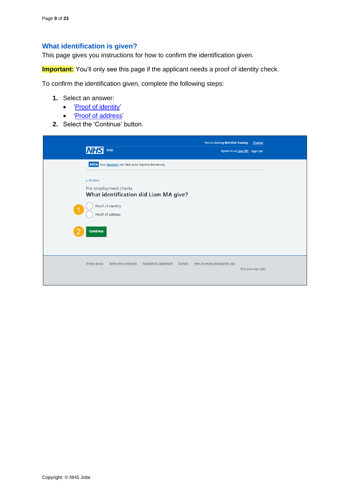### <span id="page-8-0"></span>**What identification is given?**

This page gives you instructions for how to confirm the identification given.

**Important:** You'll only see this page if the applicant needs a proof of identity check.

To confirm the identification given, complete the following steps:

- **1.** Select an answer:
	- ['Proof of identity'](#page-9-0)
	- ['Proof of address'](#page-12-0)
- **2.** Select the 'Continue' button.

| <b>INHS</b><br>Jobs                                                                                                              | You're viewing NHS BSA Training<br>Signed in as Liam M1 Sign Out | Change            |
|----------------------------------------------------------------------------------------------------------------------------------|------------------------------------------------------------------|-------------------|
| BETA Your feedback will help us to improve this service.                                                                         |                                                                  |                   |
| < Go back<br>Pre-employment checks<br>What identification did Liam MA give?<br>Proof of identity<br>Proof of address<br>Continue |                                                                  |                   |
| <b>Privacy policy</b><br>Terms and conditions<br><b>Accessibility Statement</b><br>Cookies                                       | How to create and publish jobs                                   | © Crown copyright |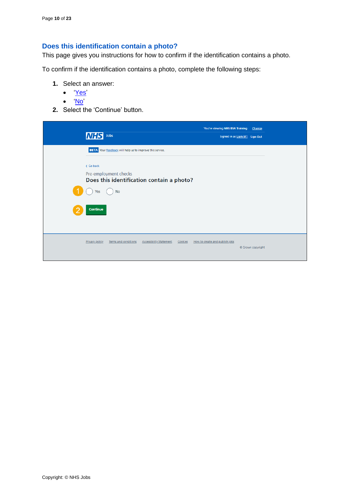# <span id="page-9-0"></span>**Does this identification contain a photo?**

This page gives you instructions for how to confirm if the identification contains a photo.

To confirm if the identification contains a photo, complete the following steps:

- **1.** Select an answer:
	- ['Yes'](#page-10-0)
	- ['No'](#page-11-0)
- **2.** Select the 'Continue' button.

| <b>INHS</b><br>Jobs                                                                 | You're viewing NHS BSA Training<br>Change<br>Signed in as Liam M1 Sign Out |  |
|-------------------------------------------------------------------------------------|----------------------------------------------------------------------------|--|
| <b>BETA</b> Your feedback will help us to improve this service.                     |                                                                            |  |
| < Go back<br>Pre-employment checks                                                  |                                                                            |  |
| Does this identification contain a photo?<br><b>No</b><br>Yes                       |                                                                            |  |
| Continue                                                                            |                                                                            |  |
|                                                                                     |                                                                            |  |
| Privacy policy<br>Terms and conditions<br><b>Accessibility Statement</b><br>Cookies | How to create and publish jobs                                             |  |
|                                                                                     | © Crown copyright                                                          |  |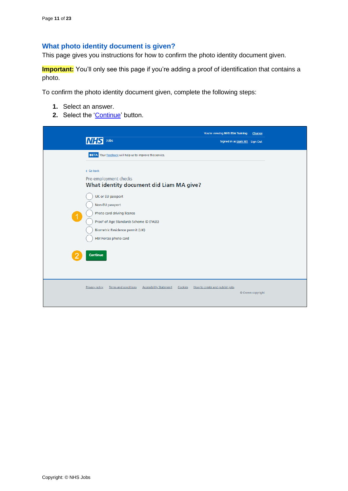# <span id="page-10-0"></span>**What photo identity document is given?**

This page gives you instructions for how to confirm the photo identity document given.

**Important:** You'll only see this page if you're adding a proof of identification that contains a photo.

To confirm the photo identity document given, complete the following steps:

- **1.** Select an answer.
- 2. Select the ['Continue'](#page-13-0) button.

| Jobs<br><b>MHS</b>                                                                                                                                                                                                                                                                                                                        | You're viewing NHS BSA Training<br>Signed in as Liam M1 Sign Out | Change            |
|-------------------------------------------------------------------------------------------------------------------------------------------------------------------------------------------------------------------------------------------------------------------------------------------------------------------------------------------|------------------------------------------------------------------|-------------------|
| <b>BETA</b> Your feedback will help us to improve this service.<br>< Go back<br>Pre-employment checks<br>What identity document did Liam MA give?<br>UK or EU passport<br>Non-EU passport<br>Photo card driving licence<br>Proof of Age Standards Scheme ID (PASS)<br>Biometric Residence permit (UK)<br>HM Forces photo card<br>Continue |                                                                  |                   |
| Privacy policy<br>Terms and conditions<br><b>Accessibility Statement</b><br>Cookies                                                                                                                                                                                                                                                       | How to create and publish jobs                                   | © Crown copyright |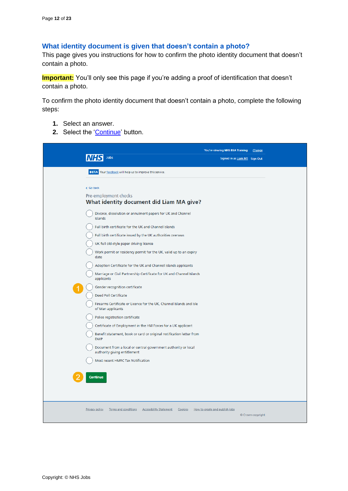## <span id="page-11-0"></span>**What identity document is given that doesn't contain a photo?**

This page gives you instructions for how to confirm the photo identity document that doesn't contain a photo.

**Important:** You'll only see this page if you're adding a proof of identification that doesn't contain a photo.

To confirm the photo identity document that doesn't contain a photo, complete the following steps:

- **1.** Select an answer.
- **2.** Select the ['Continue'](#page-13-0) button.

|                                                                                                                                                                                                                                                                                                                                                                                                                                                                                                                                                                                                                                                                                                                                                                                                                                                                                                                                                                                                                       | You're viewing NHS BSA Training<br>Change           |
|-----------------------------------------------------------------------------------------------------------------------------------------------------------------------------------------------------------------------------------------------------------------------------------------------------------------------------------------------------------------------------------------------------------------------------------------------------------------------------------------------------------------------------------------------------------------------------------------------------------------------------------------------------------------------------------------------------------------------------------------------------------------------------------------------------------------------------------------------------------------------------------------------------------------------------------------------------------------------------------------------------------------------|-----------------------------------------------------|
| Jobs                                                                                                                                                                                                                                                                                                                                                                                                                                                                                                                                                                                                                                                                                                                                                                                                                                                                                                                                                                                                                  | Signed in as Liam M1 Sign Out                       |
| <b>BETA</b> Your feedback will help us to improve this service.                                                                                                                                                                                                                                                                                                                                                                                                                                                                                                                                                                                                                                                                                                                                                                                                                                                                                                                                                       |                                                     |
| < Go back<br>Pre-employment checks<br>What identity document did Liam MA give?<br>Divorce, dissolution or annulment papers for UK and Channel<br>Islands<br>Full birth certificate for the UK and Channel Islands<br>Full birth certificate issued by the UK authorities overseas<br>UK full old-style paper driving licence<br>Work permit or residency permit for the UK, valid up to an expiry<br>date<br>Adoption Certificate for the UK and Channel Islands applicants<br>Marriage or Civil Partnership Certificate for UK and Channel Islands<br>applicants<br>Gender recognition certificate<br>Deed Poll Certificate<br>Firearms Certificate or Licence for the UK, Channel Islands and Isle<br>of Man applicants<br>Police registration certificate<br>Certificate of Employment in the HM Forces for a UK applicant<br>Benefit statement, book or card or original notification letter from<br><b>DWP</b><br>Document from a local or central government authority or local<br>authority giving entitlement |                                                     |
| Most recent HMRC Tax Notification<br>Continue                                                                                                                                                                                                                                                                                                                                                                                                                                                                                                                                                                                                                                                                                                                                                                                                                                                                                                                                                                         |                                                     |
| <b>Privacy policy</b><br>Terms and conditions<br><b>Accessibility Statement</b><br>Cookies                                                                                                                                                                                                                                                                                                                                                                                                                                                                                                                                                                                                                                                                                                                                                                                                                                                                                                                            | How to create and publish jobs<br>© Crown copyright |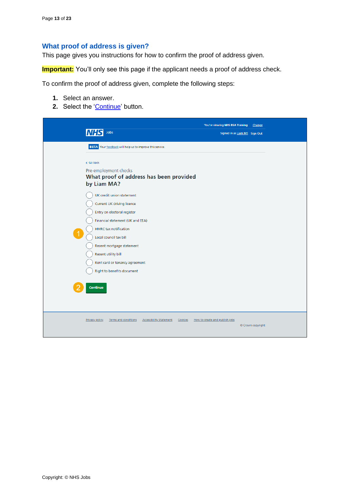#### <span id="page-12-0"></span>**What proof of address is given?**

This page gives you instructions for how to confirm the proof of address given.

**Important:** You'll only see this page if the applicant needs a proof of address check.

To confirm the proof of address given, complete the following steps:

- **1.** Select an answer.
- 2. Select the ['Continue'](#page-13-0) button.

| Jobs<br>Signed in as Liam M1 Sign Out<br>BETA Your feedback will help us to improve this service.<br>< Go back<br>Pre-employment checks<br>What proof of address has been provided<br>by Liam MA?<br>UK credit union statement<br><b>Current UK driving licence</b><br>Entry on electoral register<br>Financial statement (UK and EEA) |  |
|----------------------------------------------------------------------------------------------------------------------------------------------------------------------------------------------------------------------------------------------------------------------------------------------------------------------------------------|--|
|                                                                                                                                                                                                                                                                                                                                        |  |
|                                                                                                                                                                                                                                                                                                                                        |  |
|                                                                                                                                                                                                                                                                                                                                        |  |
|                                                                                                                                                                                                                                                                                                                                        |  |
|                                                                                                                                                                                                                                                                                                                                        |  |
|                                                                                                                                                                                                                                                                                                                                        |  |
| <b>HMRC</b> tax notification<br>$\blacktriangleleft$<br>Local council tax bill                                                                                                                                                                                                                                                         |  |
| Recent mortgage statement<br>Recent utility bill                                                                                                                                                                                                                                                                                       |  |
| Rent card or tenancy agreement<br>Right to benefits document                                                                                                                                                                                                                                                                           |  |
| Continue                                                                                                                                                                                                                                                                                                                               |  |
|                                                                                                                                                                                                                                                                                                                                        |  |
| <b>Accessibility Statement</b><br><b>Privacy policy</b><br>Terms and conditions<br>Cookies<br>How to create and publish jobs<br>© Crown copyright                                                                                                                                                                                      |  |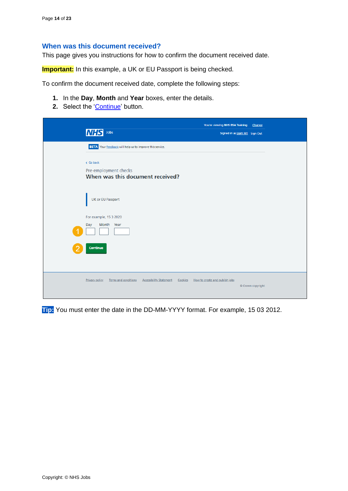### <span id="page-13-0"></span>**When was this document received?**

This page gives you instructions for how to confirm the document received date.

**Important:** In this example, a UK or EU Passport is being checked.

To confirm the document received date, complete the following steps:

- **1.** In the **Day**, **Month** and **Year** boxes, enter the details.
- 2. Select the ['Continue'](#page-14-0) button.

| $\mathsf{Jobs}\xspace$<br><b>INHSI</b>                                                            | You're viewing NHS BSA Training<br>Change<br>Signed in as Liam M1 Sign Out |
|---------------------------------------------------------------------------------------------------|----------------------------------------------------------------------------|
| BETA Your feedback will help us to improve this service.                                          |                                                                            |
| < Go back<br>Pre-employment checks<br>When was this document received?                            |                                                                            |
| UK or EU Passport                                                                                 |                                                                            |
| For example, 15 3 2020<br>Month Year<br>Day                                                       |                                                                            |
| Continue                                                                                          |                                                                            |
| <b>Privacy policy</b><br><b>Terms and conditions</b><br><b>Accessibility Statement</b><br>Cookies | How to create and publish jobs<br>© Crown copyright                        |

**Tip:** You must enter the date in the DD-MM-YYYY format. For example, 15 03 2012.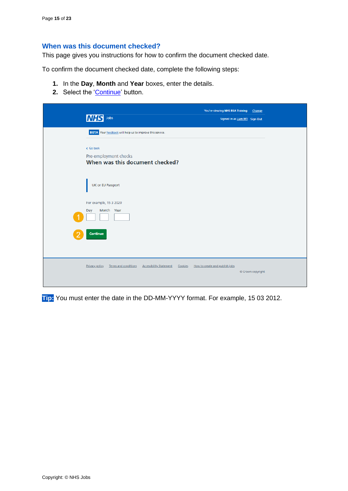## <span id="page-14-0"></span>**When was this document checked?**

This page gives you instructions for how to confirm the document checked date.

To confirm the document checked date, complete the following steps:

- **1.** In the **Day**, **Month** and **Year** boxes, enter the details.
- 2. Select the ['Continue'](#page-15-0) button.

| <b>NHS</b>            | Jobs                                                     | You're viewing NHS BSA Training           | Change<br>Signed in as Liam M1 Sign Out |
|-----------------------|----------------------------------------------------------|-------------------------------------------|-----------------------------------------|
|                       | BETA Your feedback will help us to improve this service. |                                           |                                         |
| < Go back             | Pre-employment checks<br>When was this document checked? |                                           |                                         |
|                       | <b>UK or EU Passport</b>                                 |                                           |                                         |
|                       | For example, 15 3 2020                                   |                                           |                                         |
| Day                   | Month Year                                               |                                           |                                         |
| Continue              |                                                          |                                           |                                         |
| <b>Privacy policy</b> | Terms and conditions<br><b>Accessibility Statement</b>   | Cookies<br>How to create and publish jobs | © Crown copyright                       |

**Tip:** You must enter the date in the DD-MM-YYYY format. For example, 15 03 2012.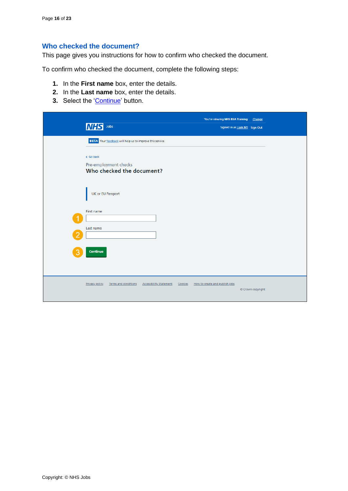# <span id="page-15-0"></span>**Who checked the document?**

This page gives you instructions for how to confirm who checked the document.

To confirm who checked the document, complete the following steps:

- **1.** In the **First name** box, enter the details.
- **2.** In the **Last name** box, enter the details.
- **3.** Select the ['Continue'](#page-16-0) button.

|   | Jobs<br><b>NHS</b>                                                              | You're viewing NHS BSA Training<br>Signed in as Liam M1 Sign Out | Change            |
|---|---------------------------------------------------------------------------------|------------------------------------------------------------------|-------------------|
|   | BETA Your feedback will help us to improve this service.                        |                                                                  |                   |
|   | < Go back<br>Pre-employment checks<br>Who checked the document?                 |                                                                  |                   |
|   | UK or EU Passport                                                               |                                                                  |                   |
|   | First name                                                                      |                                                                  |                   |
| 2 | Last name                                                                       |                                                                  |                   |
|   | Continue                                                                        |                                                                  |                   |
|   | <b>Privacy policy</b><br>Terms and conditions<br><b>Accessibility Statement</b> | Cookies How to create and publish jobs                           | © Crown copyright |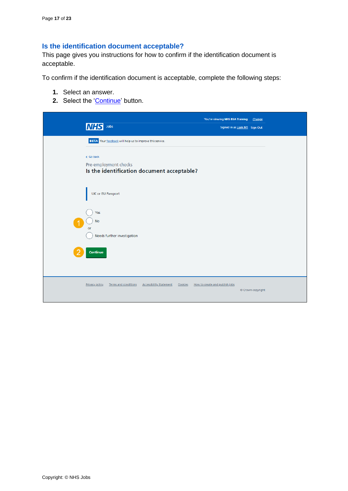# <span id="page-16-0"></span>**Is the identification document acceptable?**

This page gives you instructions for how to confirm if the identification document is acceptable.

To confirm if the identification document is acceptable, complete the following steps:

- **1.** Select an answer.
- 2. Select the ['Continue'](#page-17-0) button.

| Jobs<br><b>INHS</b>                                                                        | You're viewing NHS BSA Training<br>Change<br>Signed in as Liam M1 Sign Out |
|--------------------------------------------------------------------------------------------|----------------------------------------------------------------------------|
| BETA Your feedback will help us to improve this service.                                   |                                                                            |
| < Go back<br>Pre-employment checks<br>Is the identification document acceptable?           |                                                                            |
| UK or EU Passport                                                                          |                                                                            |
| Yes<br><b>No</b><br>or<br>Needs further investigation                                      |                                                                            |
| Continue                                                                                   |                                                                            |
| <b>Accessibility Statement</b><br><b>Privacy policy</b><br>Terms and conditions<br>Cookies | How to create and publish jobs<br>© Crown copyright                        |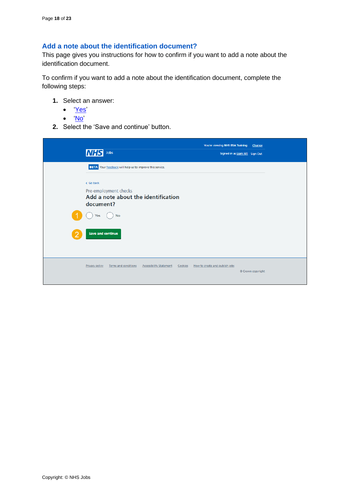## <span id="page-17-0"></span>**Add a note about the identification document?**

This page gives you instructions for how to confirm if you want to add a note about the identification document.

To confirm if you want to add a note about the identification document, complete the following steps:

- **1.** Select an answer:
	- ['Yes'](#page-18-0)
	- ['No'](#page-20-0)
- **2.** Select the 'Save and continue' button.

| Jobs<br>MH                                                                | You're viewing NHS BSA Training<br>Signed in as Liam M1 Sign Out | Change            |
|---------------------------------------------------------------------------|------------------------------------------------------------------|-------------------|
| <b>BETA</b> Your feedback will help us to improve this service.           |                                                                  |                   |
| < Go back                                                                 |                                                                  |                   |
| Pre-employment checks<br>Add a note about the identification<br>document? |                                                                  |                   |
| <b>No</b><br>Yes                                                          |                                                                  |                   |
| <b>Save and continue</b>                                                  |                                                                  |                   |
| Terms and conditions<br>Privacy policy<br><b>Accessibility Statement</b>  | Cookies How to create and publish jobs                           | © Crown copyright |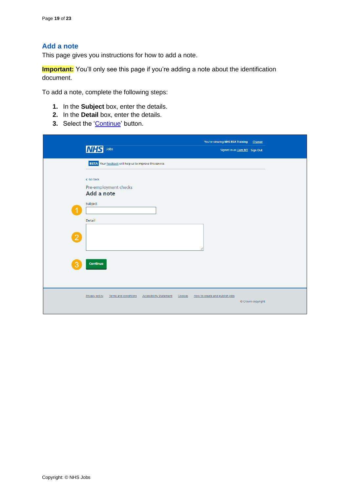## <span id="page-18-0"></span>**Add a note**

This page gives you instructions for how to add a note.

**Important:** You'll only see this page if you're adding a note about the identification document.

To add a note, complete the following steps:

- **1.** In the **Subject** box, enter the details.
- **2.** In the **Detail** box, enter the details.
- **3.** Select the ['Continue'](#page-19-0) button.

| Jobs<br><b>NHS</b>                                                              | You're viewing NHS BSA Training Change<br>Signed in as Liam M1 Sign Out |
|---------------------------------------------------------------------------------|-------------------------------------------------------------------------|
| BETA Your feedback will help us to improve this service.                        |                                                                         |
| < Go back                                                                       |                                                                         |
| Pre-employment checks<br>Add a note                                             |                                                                         |
| Subject                                                                         |                                                                         |
| Detail                                                                          |                                                                         |
| $\overline{2}$                                                                  |                                                                         |
|                                                                                 |                                                                         |
| Continue<br>З                                                                   |                                                                         |
|                                                                                 |                                                                         |
| <b>Privacy policy</b><br>Terms and conditions<br><b>Accessibility Statement</b> | Cookies How to create and publish jobs<br>© Crown copyright             |
|                                                                                 |                                                                         |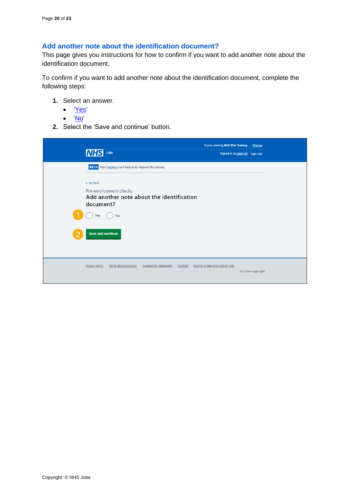## <span id="page-19-0"></span>**Add another note about the identification document?**

This page gives you instructions for how to confirm if you want to add another note about the identification document.

To confirm if you want to add another note about the identification document, complete the following steps:

- **1.** Select an answer.
	- ['Yes'](#page-18-0)
	- ['No'](#page-20-0)
- **2.** Select the 'Save and continue' button.

| Jobs<br><b>INHS</b>                                                                 | You're viewing NHS BSA Training<br>Signed in as Liam M1 Sign Out | Change            |
|-------------------------------------------------------------------------------------|------------------------------------------------------------------|-------------------|
| <b>BETA</b> Your feedback will help us to improve this service.                     |                                                                  |                   |
| < Go back                                                                           |                                                                  |                   |
| Pre-employment checks<br>Add another note about the identification<br>document?     |                                                                  |                   |
| <b>No</b><br>Yes                                                                    |                                                                  |                   |
| <b>Save and continue</b>                                                            |                                                                  |                   |
| Privacy policy<br>Terms and conditions<br><b>Accessibility Statement</b><br>Cookies | How to create and publish jobs                                   | © Crown copyright |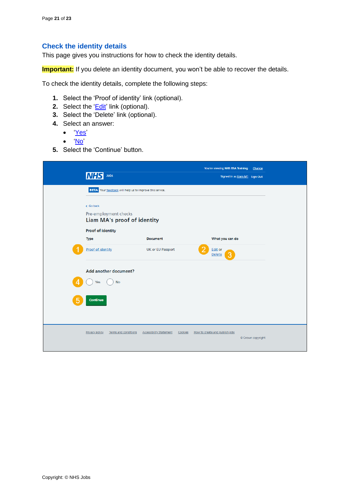## <span id="page-20-0"></span>**Check the identity details**

This page gives you instructions for how to check the identity details.

**Important:** If you delete an identity document, you won't be able to recover the details.

To check the identity details, complete the following steps:

- **1.** Select the 'Proof of identity' link (optional).
- **2.** Select the '*Edit'* link (optional).
- **3.** Select the 'Delete' link (optional).
- **4.** Select an answer:
	- ['Yes'](#page-7-0)
	- ['No'](#page-21-0)
- **5.** Select the 'Continue' button.

| Jobs<br><b>MHS</b>                                                |                                           | You're viewing NHS BSA Training<br>Change<br>Signed in as Liam M1 Sign Out |  |
|-------------------------------------------------------------------|-------------------------------------------|----------------------------------------------------------------------------|--|
| <b>BETA</b> Your feedback will help us to improve this service.   |                                           |                                                                            |  |
| < Go back<br>Pre-employment checks<br>Liam MA's proof of identity |                                           |                                                                            |  |
| Proof of identity<br><b>Type</b>                                  | <b>Document</b>                           | What you can do                                                            |  |
| <b>Proof of identity</b>                                          | UK or EU Passport                         | <b>Edit or</b><br>З<br><b>Delete</b>                                       |  |
| Add another document?<br><b>No</b><br><b>Yes</b>                  |                                           |                                                                            |  |
| Continue                                                          |                                           |                                                                            |  |
| Terms and conditions<br><b>Privacy policy</b>                     | <b>Accessibility Statement</b><br>Cookies | How to create and publish jobs                                             |  |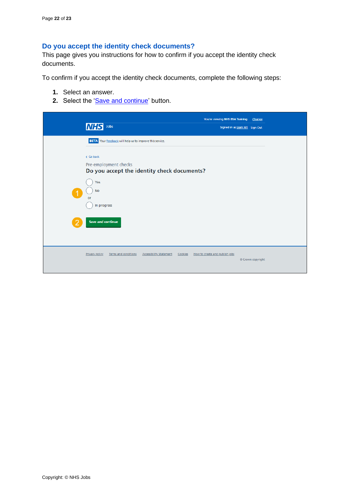## <span id="page-21-0"></span>**Do you accept the identity check documents?**

This page gives you instructions for how to confirm if you accept the identity check documents.

To confirm if you accept the identity check documents, complete the following steps:

- **1.** Select an answer.
- **2.** Select the ['Save and continue'](#page-22-0) button.

| <b>INHS</b><br>Jobs                                             |                                             | You're viewing NHS BSA Training<br>Signed in as Liam M1 Sign Out | Change            |
|-----------------------------------------------------------------|---------------------------------------------|------------------------------------------------------------------|-------------------|
| <b>BETA</b> Your feedback will help us to improve this service. |                                             |                                                                  |                   |
| < Go back<br>Pre-employment checks                              | Do you accept the identity check documents? |                                                                  |                   |
| Yes<br><b>No</b><br>or                                          |                                             |                                                                  |                   |
| In progress<br><b>Save and continue</b>                         |                                             |                                                                  |                   |
|                                                                 |                                             |                                                                  |                   |
| Privacy policy<br>Terms and conditions                          | <b>Accessibility Statement</b><br>Cookies   | How to create and publish jobs                                   | © Crown copyright |